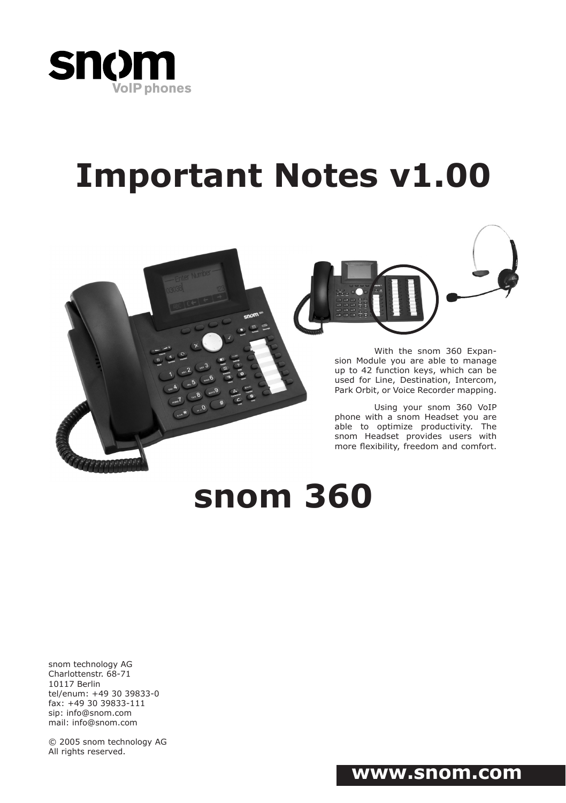

# **Important Notes v1.00**



With the snom 360 Expansion Module you are able to manage up to 42 function keys, which can be used for Line, Destination, Intercom, Park Orbit, or Voice Recorder mapping.

Using your snom 360 VoIP phone with a snom Headset you are able to optimize productivity. The snom Headset provides users with more flexibility, freedom and comfort.

## **snom 360**

snom technology AG Charlottenstr. 68-71 10117 Berlin tel/enum: +49 30 39833-0 fax: +49 30 39833-111 sip: info@snom.com mail: info@snom.com

© 2005 snom technology AG All rights reserved.

## **www.snom.com**